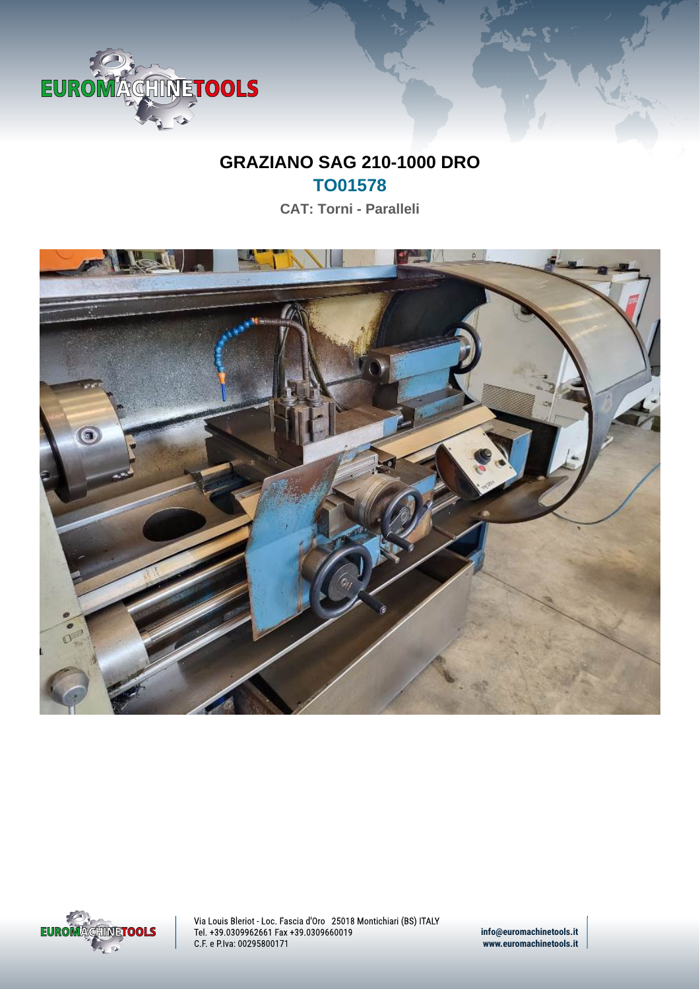

## **GRAZIANO SAG 210-1000 DRO TO01578**

**CAT: Torni - Paralleli**





Via Louis Bleriot - Loc. Fascia d'Oro 25018 Montichiari (BS) ITALY Tel. +39.0309962661 Fax +39.0309660019 C.F. e P.Iva: 00295800171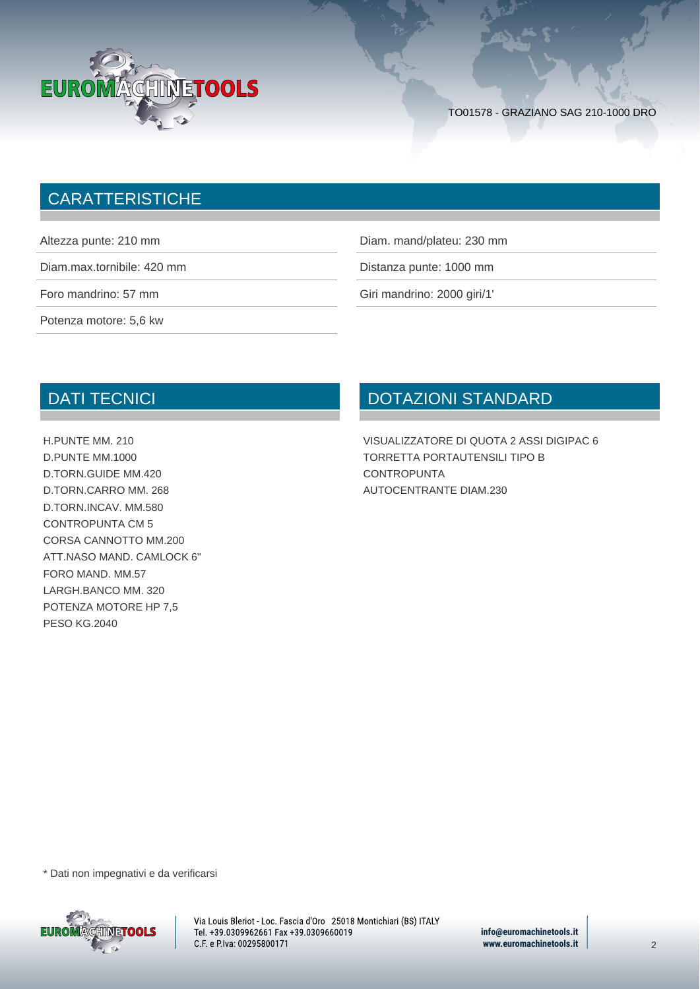

## **CARATTERISTICHE**

|  | Altezza punte: 210 mm |  |  |  |
|--|-----------------------|--|--|--|
|--|-----------------------|--|--|--|

Potenza motore: 5,6 kw

Diam. mand/plateu: 230 mm

Diam.max.tornibile: 420 mm

Foro mandrino: 57 mm Giri mandrino: 2000 giri/1'

## DATI TECNICI

H.PUNTE MM. 210 D.PUNTE MM.1000 D.TORN.GUIDE MM.420 D.TORN.CARRO MM. 268 D.TORN.INCAV. MM.580 CONTROPUNTA CM 5 CORSA CANNOTTO MM.200 ATT.NASO MAND. CAMLOCK 6" FORO MAND. MM.57 LARGH.BANCO MM. 320 POTENZA MOTORE HP 7,5 PESO KG.2040

## DOTAZIONI STANDARD

VISUALIZZATORE DI QUOTA 2 ASSI DIGIPAC 6 TORRETTA PORTAUTENSILI TIPO B **CONTROPUNTA** AUTOCENTRANTE DIAM.230

\* Dati non impegnativi e da verificarsi



Via Louis Bleriot - Loc. Fascia d'Oro 25018 Montichiari (BS) ITALY Tel. +39.0309962661 Fax +39.0309660019 C.F. e P.Iva: 00295800171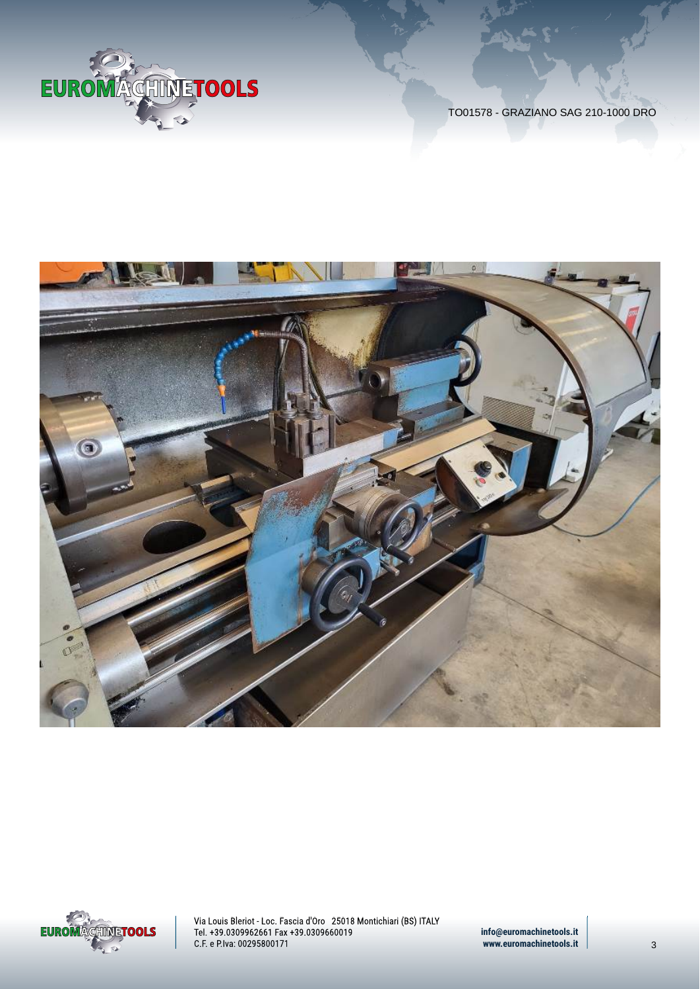





Via Louis Bleriot - Loc. Fascia d'Oro 25018 Montichiari (BS) ITALY Tel. +39.0309962661 Fax +39.0309660019 C.F. e P.Iva: 00295800171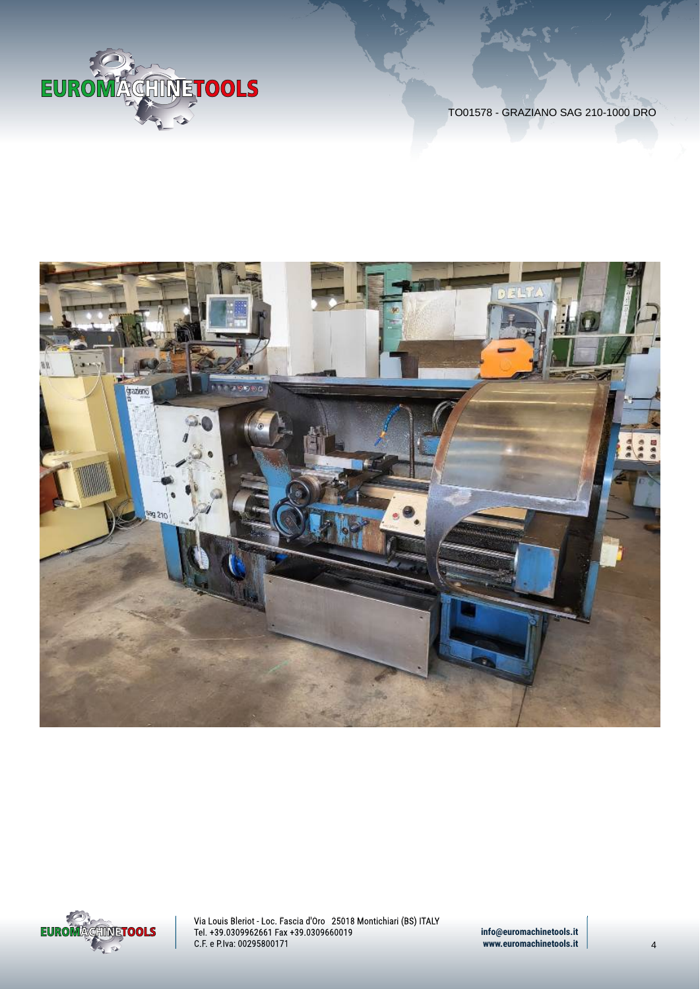





Via Louis Bleriot - Loc. Fascia d'Oro 25018 Montichiari (BS) ITALY Tel. +39.0309962661 Fax +39.0309660019 C.F. e P.Iva: 00295800171